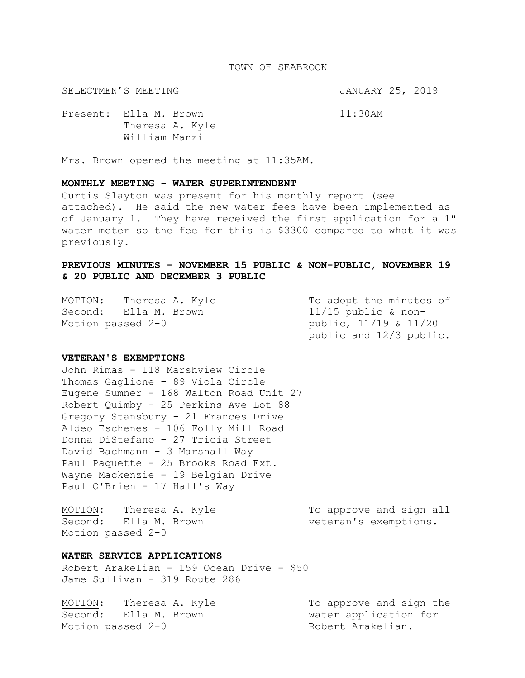#### TOWN OF SEABROOK

SELECTMEN'S MEETING **SELECTMEN'S MEETING** 

Present: Ella M. Brown 11:30AM Theresa A. Kyle William Manzi

Mrs. Brown opened the meeting at 11:35AM.

## **MONTHLY MEETING - WATER SUPERINTENDENT**

Curtis Slayton was present for his monthly report (see attached). He said the new water fees have been implemented as of January 1. They have received the first application for a 1" water meter so the fee for this is \$3300 compared to what it was previously.

# **PREVIOUS MINUTES - NOVEMBER 15 PUBLIC & NON-PUBLIC, NOVEMBER 19 & 20 PUBLIC AND DECEMBER 3 PUBLIC**

MOTION: Theresa A. Kyle To adopt the minutes of Second: Ella M. Brown 11/15 public & non-Motion passed  $2-0$  public,  $11/19$  &  $11/20$ 

public and 12/3 public.

## **VETERAN'S EXEMPTIONS**

John Rimas - 118 Marshview Circle Thomas Gaglione - 89 Viola Circle Eugene Sumner - 168 Walton Road Unit 27 Robert Quimby - 25 Perkins Ave Lot 88 Gregory Stansbury - 21 Frances Drive Aldeo Eschenes - 106 Folly Mill Road Donna DiStefano - 27 Tricia Street David Bachmann - 3 Marshall Way Paul Paquette - 25 Brooks Road Ext. Wayne Mackenzie - 19 Belgian Drive Paul O'Brien - 17 Hall's Way

MOTION: Theresa A. Kyle To approve and sign all Second: Ella M. Brown veteran's exemptions. Motion passed 2-0

### **WATER SERVICE APPLICATIONS**

Robert Arakelian - 159 Ocean Drive - \$50 Jame Sullivan - 319 Route 286

MOTION: Theresa A. Kyle To approve and sign the Second: Ella M. Brown water application for Motion passed 2-0 and Robert Arakelian.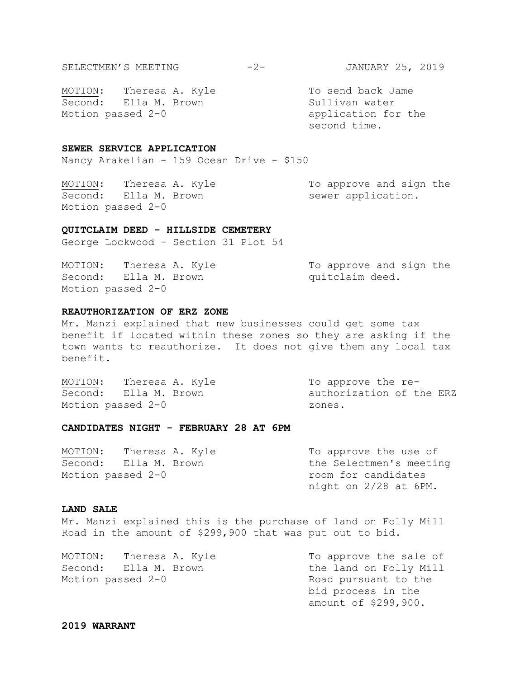MOTION: Theresa A. Kyle To send back Jame Second: Ella M. Brown Sullivan water Motion passed 2-0 application for the

second time.

### **SEWER SERVICE APPLICATION**

Nancy Arakelian - 159 Ocean Drive - \$150

MOTION: Theresa A. Kyle To approve and sign the Second: Ella M. Brown sewer application. Motion passed 2-0

#### **QUITCLAIM DEED - HILLSIDE CEMETERY**

George Lockwood - Section 31 Plot 54

| MOTION: | Theresa A. Kyle       |  | To approve and sign the |  |  |
|---------|-----------------------|--|-------------------------|--|--|
|         | Second: Ella M. Brown |  | quitclaim deed.         |  |  |
|         | Motion passed 2-0     |  |                         |  |  |

### **REAUTHORIZATION OF ERZ ZONE**

Mr. Manzi explained that new businesses could get some tax benefit if located within these zones so they are asking if the town wants to reauthorize. It does not give them any local tax benefit.

| MOTION: | Theresa A. Kyle       | To approve the re-       |
|---------|-----------------------|--------------------------|
|         | Second: Ella M. Brown | authorization of the ERZ |
|         | Motion passed 2-0     | zones.                   |

#### **CANDIDATES NIGHT - FEBRUARY 28 AT 6PM**

MOTION: Theresa A. Kyle To approve the use of Second: Ella M. Brown The Selectmen's meeting Motion passed 2-0 room for candidates night on 2/28 at 6PM.

## **LAND SALE**

Mr. Manzi explained this is the purchase of land on Folly Mill Road in the amount of \$299,900 that was put out to bid.

MOTION: Theresa A. Kyle To approve the sale of Second: Ella M. Brown the land on Folly Mill Motion passed 2-0 Road pursuant to the

bid process in the amount of \$299,900.